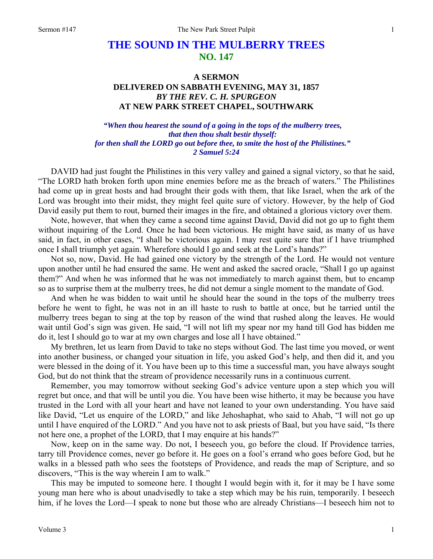## **THE SOUND IN THE MULBERRY TREES NO. 147**

## **A SERMON DELIVERED ON SABBATH EVENING, MAY 31, 1857**  *BY THE REV. C. H. SPURGEON*  **AT NEW PARK STREET CHAPEL, SOUTHWARK**

*"When thou hearest the sound of a going in the tops of the mulberry trees, that then thou shalt bestir thyself: for then shall the LORD go out before thee, to smite the host of the Philistines." 2 Samuel 5:24* 

DAVID had just fought the Philistines in this very valley and gained a signal victory, so that he said, "The LORD hath broken forth upon mine enemies before me as the breach of waters." The Philistines had come up in great hosts and had brought their gods with them, that like Israel, when the ark of the Lord was brought into their midst, they might feel quite sure of victory. However, by the help of God David easily put them to rout, burned their images in the fire, and obtained a glorious victory over them.

Note, however, that when they came a second time against David, David did not go up to fight them without inquiring of the Lord. Once he had been victorious. He might have said, as many of us have said, in fact, in other cases, "I shall be victorious again. I may rest quite sure that if I have triumphed once I shall triumph yet again. Wherefore should I go and seek at the Lord's hands?"

Not so, now, David. He had gained one victory by the strength of the Lord. He would not venture upon another until he had ensured the same. He went and asked the sacred oracle, "Shall I go up against them?" And when he was informed that he was not immediately to march against them, but to encamp so as to surprise them at the mulberry trees, he did not demur a single moment to the mandate of God.

And when he was bidden to wait until he should hear the sound in the tops of the mulberry trees before he went to fight, he was not in an ill haste to rush to battle at once, but he tarried until the mulberry trees began to sing at the top by reason of the wind that rushed along the leaves. He would wait until God's sign was given. He said, "I will not lift my spear nor my hand till God has bidden me do it, lest I should go to war at my own charges and lose all I have obtained."

My brethren, let us learn from David to take no steps without God. The last time you moved, or went into another business, or changed your situation in life, you asked God's help, and then did it, and you were blessed in the doing of it. You have been up to this time a successful man, you have always sought God, but do not think that the stream of providence necessarily runs in a continuous current.

Remember, you may tomorrow without seeking God's advice venture upon a step which you will regret but once, and that will be until you die. You have been wise hitherto, it may be because you have trusted in the Lord with all your heart and have not leaned to your own understanding. You have said like David, "Let us enquire of the LORD," and like Jehoshaphat, who said to Ahab, "I will not go up until I have enquired of the LORD." And you have not to ask priests of Baal, but you have said, "Is there not here one, a prophet of the LORD, that I may enquire at his hands?"

Now, keep on in the same way. Do not, I beseech you, go before the cloud. If Providence tarries, tarry till Providence comes, never go before it. He goes on a fool's errand who goes before God, but he walks in a blessed path who sees the footsteps of Providence, and reads the map of Scripture, and so discovers, "This is the way wherein I am to walk."

This may be imputed to someone here. I thought I would begin with it, for it may be I have some young man here who is about unadvisedly to take a step which may be his ruin, temporarily. I beseech him, if he loves the Lord—I speak to none but those who are already Christians—I beseech him not to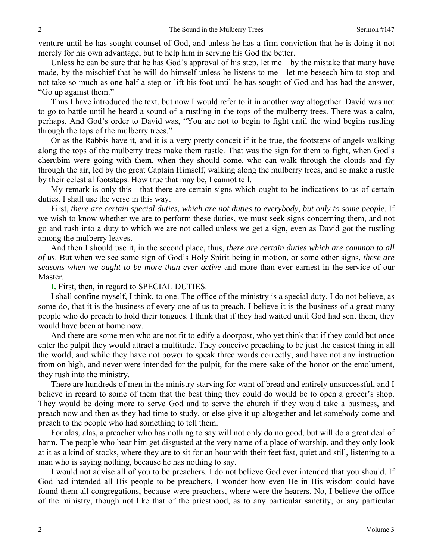venture until he has sought counsel of God, and unless he has a firm conviction that he is doing it not merely for his own advantage, but to help him in serving his God the better.

Unless he can be sure that he has God's approval of his step, let me—by the mistake that many have made, by the mischief that he will do himself unless he listens to me—let me beseech him to stop and not take so much as one half a step or lift his foot until he has sought of God and has had the answer, "Go up against them."

Thus I have introduced the text, but now I would refer to it in another way altogether. David was not to go to battle until he heard a sound of a rustling in the tops of the mulberry trees. There was a calm, perhaps. And God's order to David was, "You are not to begin to fight until the wind begins rustling through the tops of the mulberry trees."

Or as the Rabbis have it, and it is a very pretty conceit if it be true, the footsteps of angels walking along the tops of the mulberry trees make them rustle. That was the sign for them to fight, when God's cherubim were going with them, when they should come, who can walk through the clouds and fly through the air, led by the great Captain Himself, walking along the mulberry trees, and so make a rustle by their celestial footsteps. How true that may be, I cannot tell.

My remark is only this—that there are certain signs which ought to be indications to us of certain duties. I shall use the verse in this way.

First, *there are certain special duties, which are not duties to everybody, but only to some people*. If we wish to know whether we are to perform these duties, we must seek signs concerning them, and not go and rush into a duty to which we are not called unless we get a sign, even as David got the rustling among the mulberry leaves.

And then I should use it, in the second place, thus, *there are certain duties which are common to all of us*. But when we see some sign of God's Holy Spirit being in motion, or some other signs, *these are seasons when we ought to be more than ever active* and more than ever earnest in the service of our Master.

**I.** First, then, in regard to SPECIAL DUTIES.

I shall confine myself, I think, to one. The office of the ministry is a special duty. I do not believe, as some do, that it is the business of every one of us to preach. I believe it is the business of a great many people who do preach to hold their tongues. I think that if they had waited until God had sent them, they would have been at home now.

And there are some men who are not fit to edify a doorpost, who yet think that if they could but once enter the pulpit they would attract a multitude. They conceive preaching to be just the easiest thing in all the world, and while they have not power to speak three words correctly, and have not any instruction from on high, and never were intended for the pulpit, for the mere sake of the honor or the emolument, they rush into the ministry.

There are hundreds of men in the ministry starving for want of bread and entirely unsuccessful, and I believe in regard to some of them that the best thing they could do would be to open a grocer's shop. They would be doing more to serve God and to serve the church if they would take a business, and preach now and then as they had time to study, or else give it up altogether and let somebody come and preach to the people who had something to tell them.

For alas, alas, a preacher who has nothing to say will not only do no good, but will do a great deal of harm. The people who hear him get disgusted at the very name of a place of worship, and they only look at it as a kind of stocks, where they are to sit for an hour with their feet fast, quiet and still, listening to a man who is saying nothing, because he has nothing to say.

I would not advise all of you to be preachers. I do not believe God ever intended that you should. If God had intended all His people to be preachers, I wonder how even He in His wisdom could have found them all congregations, because were preachers, where were the hearers. No, I believe the office of the ministry, though not like that of the priesthood, as to any particular sanctity, or any particular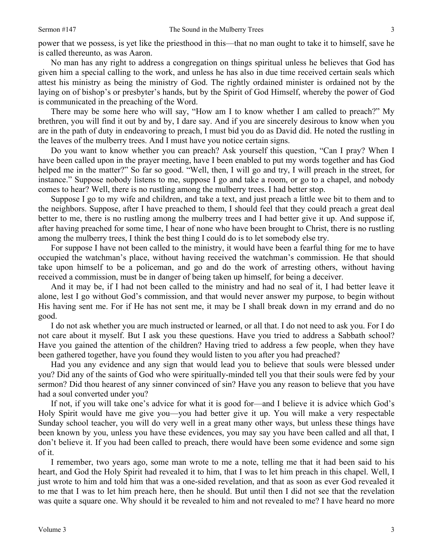power that we possess, is yet like the priesthood in this—that no man ought to take it to himself, save he is called thereunto, as was Aaron.

No man has any right to address a congregation on things spiritual unless he believes that God has given him a special calling to the work, and unless he has also in due time received certain seals which attest his ministry as being the ministry of God. The rightly ordained minister is ordained not by the laying on of bishop's or presbyter's hands, but by the Spirit of God Himself, whereby the power of God is communicated in the preaching of the Word.

There may be some here who will say, "How am I to know whether I am called to preach?" My brethren, you will find it out by and by, I dare say. And if you are sincerely desirous to know when you are in the path of duty in endeavoring to preach, I must bid you do as David did. He noted the rustling in the leaves of the mulberry trees. And I must have you notice certain signs.

Do you want to know whether you can preach? Ask yourself this question, "Can I pray? When I have been called upon in the prayer meeting, have I been enabled to put my words together and has God helped me in the matter?" So far so good. "Well, then, I will go and try, I will preach in the street, for instance." Suppose nobody listens to me, suppose I go and take a room, or go to a chapel, and nobody comes to hear? Well, there is no rustling among the mulberry trees. I had better stop.

Suppose I go to my wife and children, and take a text, and just preach a little wee bit to them and to the neighbors. Suppose, after I have preached to them, I should feel that they could preach a great deal better to me, there is no rustling among the mulberry trees and I had better give it up. And suppose if, after having preached for some time, I hear of none who have been brought to Christ, there is no rustling among the mulberry trees, I think the best thing I could do is to let somebody else try.

For suppose I have not been called to the ministry, it would have been a fearful thing for me to have occupied the watchman's place, without having received the watchman's commission. He that should take upon himself to be a policeman, and go and do the work of arresting others, without having received a commission, must be in danger of being taken up himself, for being a deceiver.

And it may be, if I had not been called to the ministry and had no seal of it, I had better leave it alone, lest I go without God's commission, and that would never answer my purpose, to begin without His having sent me. For if He has not sent me, it may be I shall break down in my errand and do no good.

I do not ask whether you are much instructed or learned, or all that. I do not need to ask you. For I do not care about it myself. But I ask you these questions. Have you tried to address a Sabbath school? Have you gained the attention of the children? Having tried to address a few people, when they have been gathered together, have you found they would listen to you after you had preached?

Had you any evidence and any sign that would lead you to believe that souls were blessed under you? Did any of the saints of God who were spiritually-minded tell you that their souls were fed by your sermon? Did thou hearest of any sinner convinced of sin? Have you any reason to believe that you have had a soul converted under you?

If not, if you will take one's advice for what it is good for—and I believe it is advice which God's Holy Spirit would have me give you—you had better give it up. You will make a very respectable Sunday school teacher, you will do very well in a great many other ways, but unless these things have been known by you, unless you have these evidences, you may say you have been called and all that, I don't believe it. If you had been called to preach, there would have been some evidence and some sign of it.

I remember, two years ago, some man wrote to me a note, telling me that it had been said to his heart, and God the Holy Spirit had revealed it to him, that I was to let him preach in this chapel. Well, I just wrote to him and told him that was a one-sided revelation, and that as soon as ever God revealed it to me that I was to let him preach here, then he should. But until then I did not see that the revelation was quite a square one. Why should it be revealed to him and not revealed to me? I have heard no more

3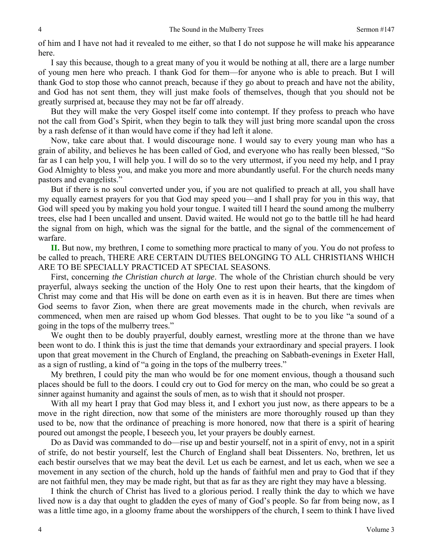of him and I have not had it revealed to me either, so that I do not suppose he will make his appearance here.

I say this because, though to a great many of you it would be nothing at all, there are a large number of young men here who preach. I thank God for them—for anyone who is able to preach. But I will thank God to stop those who cannot preach, because if they go about to preach and have not the ability, and God has not sent them, they will just make fools of themselves, though that you should not be greatly surprised at, because they may not be far off already.

But they will make the very Gospel itself come into contempt. If they profess to preach who have not the call from God's Spirit, when they begin to talk they will just bring more scandal upon the cross by a rash defense of it than would have come if they had left it alone.

Now, take care about that. I would discourage none. I would say to every young man who has a grain of ability, and believes he has been called of God, and everyone who has really been blessed, "So far as I can help you, I will help you. I will do so to the very uttermost, if you need my help, and I pray God Almighty to bless you, and make you more and more abundantly useful. For the church needs many pastors and evangelists."

But if there is no soul converted under you, if you are not qualified to preach at all, you shall have my equally earnest prayers for you that God may speed you—and I shall pray for you in this way, that God will speed you by making you hold your tongue. I waited till I heard the sound among the mulberry trees, else had I been uncalled and unsent. David waited. He would not go to the battle till he had heard the signal from on high, which was the signal for the battle, and the signal of the commencement of warfare.

**II.** But now, my brethren, I come to something more practical to many of you. You do not profess to be called to preach, THERE ARE CERTAIN DUTIES BELONGING TO ALL CHRISTIANS WHICH ARE TO BE SPECIALLY PRACTICED AT SPECIAL SEASONS.

First, concerning *the Christian church at large*. The whole of the Christian church should be very prayerful, always seeking the unction of the Holy One to rest upon their hearts, that the kingdom of Christ may come and that His will be done on earth even as it is in heaven. But there are times when God seems to favor Zion, when there are great movements made in the church, when revivals are commenced, when men are raised up whom God blesses. That ought to be to you like "a sound of a going in the tops of the mulberry trees."

We ought then to be doubly prayerful, doubly earnest, wrestling more at the throne than we have been wont to do. I think this is just the time that demands your extraordinary and special prayers. I look upon that great movement in the Church of England, the preaching on Sabbath-evenings in Exeter Hall, as a sign of rustling, a kind of "a going in the tops of the mulberry trees."

My brethren, I could pity the man who would be for one moment envious, though a thousand such places should be full to the doors. I could cry out to God for mercy on the man, who could be so great a sinner against humanity and against the souls of men, as to wish that it should not prosper.

With all my heart I pray that God may bless it, and I exhort you just now, as there appears to be a move in the right direction, now that some of the ministers are more thoroughly roused up than they used to be, now that the ordinance of preaching is more honored, now that there is a spirit of hearing poured out amongst the people, I beseech you, let your prayers be doubly earnest.

Do as David was commanded to do—rise up and bestir yourself, not in a spirit of envy, not in a spirit of strife, do not bestir yourself, lest the Church of England shall beat Dissenters. No, brethren, let us each bestir ourselves that we may beat the devil*.* Let us each be earnest, and let us each, when we see a movement in any section of the church, hold up the hands of faithful men and pray to God that if they are not faithful men, they may be made right, but that as far as they are right they may have a blessing.

I think the church of Christ has lived to a glorious period. I really think the day to which we have lived now is a day that ought to gladden the eyes of many of God's people. So far from being now, as I was a little time ago, in a gloomy frame about the worshippers of the church, I seem to think I have lived

4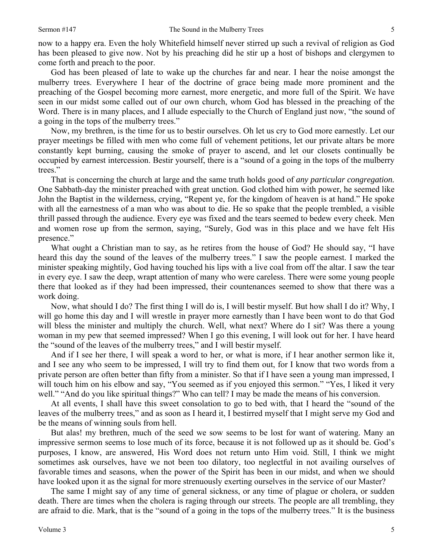now to a happy era. Even the holy Whitefield himself never stirred up such a revival of religion as God has been pleased to give now. Not by his preaching did he stir up a host of bishops and clergymen to come forth and preach to the poor.

God has been pleased of late to wake up the churches far and near. I hear the noise amongst the mulberry trees. Everywhere I hear of the doctrine of grace being made more prominent and the preaching of the Gospel becoming more earnest, more energetic, and more full of the Spirit. We have seen in our midst some called out of our own church, whom God has blessed in the preaching of the Word. There is in many places, and I allude especially to the Church of England just now, "the sound of a going in the tops of the mulberry trees."

Now, my brethren, is the time for us to bestir ourselves. Oh let us cry to God more earnestly. Let our prayer meetings be filled with men who come full of vehement petitions, let our private altars be more constantly kept burning, causing the smoke of prayer to ascend, and let our closets continually be occupied by earnest intercession. Bestir yourself, there is a "sound of a going in the tops of the mulberry trees."

That is concerning the church at large and the same truth holds good of *any particular congregation.*  One Sabbath-day the minister preached with great unction. God clothed him with power, he seemed like John the Baptist in the wilderness, crying, "Repent ye, for the kingdom of heaven is at hand." He spoke with all the earnestness of a man who was about to die. He so spake that the people trembled, a visible thrill passed through the audience. Every eye was fixed and the tears seemed to bedew every cheek. Men and women rose up from the sermon, saying, "Surely, God was in this place and we have felt His presence."

What ought a Christian man to say, as he retires from the house of God? He should say, "I have heard this day the sound of the leaves of the mulberry trees." I saw the people earnest. I marked the minister speaking mightily, God having touched his lips with a live coal from off the altar. I saw the tear in every eye. I saw the deep, wrapt attention of many who were careless. There were some young people there that looked as if they had been impressed, their countenances seemed to show that there was a work doing.

Now, what should I do? The first thing I will do is, I will bestir myself. But how shall I do it? Why, I will go home this day and I will wrestle in prayer more earnestly than I have been wont to do that God will bless the minister and multiply the church. Well, what next? Where do I sit? Was there a young woman in my pew that seemed impressed? When I go this evening, I will look out for her. I have heard the "sound of the leaves of the mulberry trees," and I will bestir myself.

And if I see her there, I will speak a word to her, or what is more, if I hear another sermon like it, and I see any who seem to be impressed, I will try to find them out, for I know that two words from a private person are often better than fifty from a minister. So that if I have seen a young man impressed, I will touch him on his elbow and say, "You seemed as if you enjoyed this sermon." "Yes, I liked it very well." "And do you like spiritual things?" Who can tell? I may be made the means of his conversion.

At all events, I shall have this sweet consolation to go to bed with, that I heard the "sound of the leaves of the mulberry trees," and as soon as I heard it, I bestirred myself that I might serve my God and be the means of winning souls from hell.

But alas! my brethren, much of the seed we sow seems to be lost for want of watering. Many an impressive sermon seems to lose much of its force, because it is not followed up as it should be. God's purposes, I know, are answered, His Word does not return unto Him void. Still, I think we might sometimes ask ourselves, have we not been too dilatory, too neglectful in not availing ourselves of favorable times and seasons, when the power of the Spirit has been in our midst, and when we should have looked upon it as the signal for more strenuously exerting ourselves in the service of our Master?

The same I might say of any time of general sickness, or any time of plague or cholera, or sudden death. There are times when the cholera is raging through our streets. The people are all trembling, they are afraid to die. Mark, that is the "sound of a going in the tops of the mulberry trees." It is the business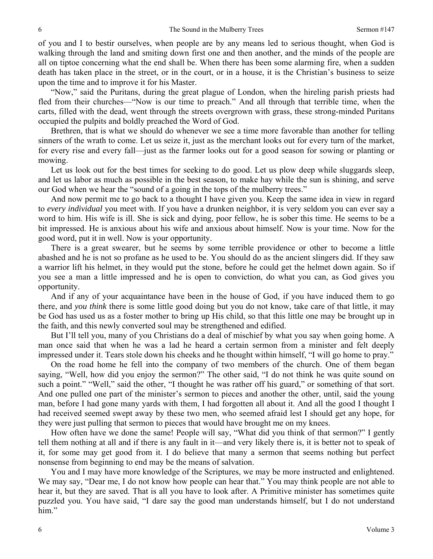of you and I to bestir ourselves, when people are by any means led to serious thought, when God is walking through the land and smiting down first one and then another, and the minds of the people are all on tiptoe concerning what the end shall be. When there has been some alarming fire, when a sudden death has taken place in the street, or in the court, or in a house, it is the Christian's business to seize upon the time and to improve it for his Master.

"Now," said the Puritans, during the great plague of London, when the hireling parish priests had fled from their churches—"Now is our time to preach." And all through that terrible time, when the carts, filled with the dead, went through the streets overgrown with grass, these strong-minded Puritans occupied the pulpits and boldly preached the Word of God.

Brethren, that is what we should do whenever we see a time more favorable than another for telling sinners of the wrath to come. Let us seize it, just as the merchant looks out for every turn of the market, for every rise and every fall—just as the farmer looks out for a good season for sowing or planting or mowing.

Let us look out for the best times for seeking to do good. Let us plow deep while sluggards sleep, and let us labor as much as possible in the best season, to make hay while the sun is shining, and serve our God when we hear the "sound of a going in the tops of the mulberry trees."

And now permit me to go back to a thought I have given you. Keep the same idea in view in regard to *every individual* you meet with. If you have a drunken neighbor, it is very seldom you can ever say a word to him. His wife is ill. She is sick and dying, poor fellow, he is sober this time. He seems to be a bit impressed. He is anxious about his wife and anxious about himself. Now is your time. Now for the good word, put it in well. Now is your opportunity.

There is a great swearer, but he seems by some terrible providence or other to become a little abashed and he is not so profane as he used to be. You should do as the ancient slingers did. If they saw a warrior lift his helmet, in they would put the stone, before he could get the helmet down again. So if you see a man a little impressed and he is open to conviction, do what you can, as God gives you opportunity.

And if any of your acquaintance have been in the house of God, if you have induced them to go there, and *you think* there is some little good doing but you do not know, take care of that little, it may be God has used us as a foster mother to bring up His child, so that this little one may be brought up in the faith, and this newly converted soul may be strengthened and edified.

But I'll tell you, many of you Christians do a deal of mischief by what you say when going home. A man once said that when he was a lad he heard a certain sermon from a minister and felt deeply impressed under it. Tears stole down his cheeks and he thought within himself, "I will go home to pray."

On the road home he fell into the company of two members of the church. One of them began saying, "Well, how did you enjoy the sermon?" The other said, "I do not think he was quite sound on such a point." "Well," said the other, "I thought he was rather off his guard," or something of that sort. And one pulled one part of the minister's sermon to pieces and another the other, until, said the young man, before I had gone many yards with them, I had forgotten all about it. And all the good I thought I had received seemed swept away by these two men, who seemed afraid lest I should get any hope, for they were just pulling that sermon to pieces that would have brought me on my knees.

How often have we done the same! People will say, "What did you think of that sermon?" I gently tell them nothing at all and if there is any fault in it—and very likely there is, it is better not to speak of it, for some may get good from it. I do believe that many a sermon that seems nothing but perfect nonsense from beginning to end may be the means of salvation.

You and I may have more knowledge of the Scriptures, we may be more instructed and enlightened. We may say, "Dear me, I do not know how people can hear that." You may think people are not able to hear it, but they are saved. That is all you have to look after. A Primitive minister has sometimes quite puzzled you. You have said, "I dare say the good man understands himself, but I do not understand him."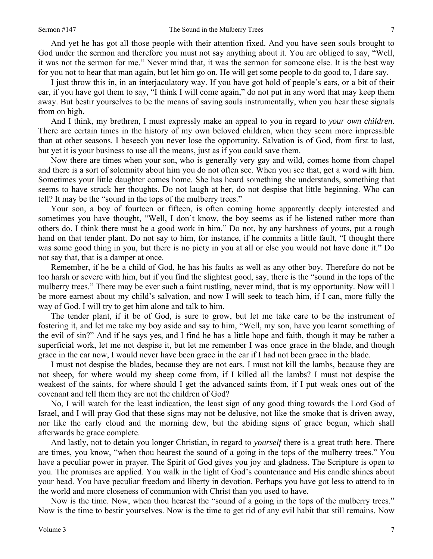And yet he has got all those people with their attention fixed. And you have seen souls brought to God under the sermon and therefore you must not say anything about it. You are obliged to say, "Well, it was not the sermon for me." Never mind that, it was the sermon for someone else. It is the best way for you not to hear that man again, but let him go on. He will get some people to do good to, I dare say.

I just throw this in, in an interjaculatory way. If you have got hold of people's ears, or a bit of their ear, if you have got them to say, "I think I will come again," do not put in any word that may keep them away. But bestir yourselves to be the means of saving souls instrumentally, when you hear these signals from on high.

And I think, my brethren, I must expressly make an appeal to you in regard to *your own children*. There are certain times in the history of my own beloved children, when they seem more impressible than at other seasons. I beseech you never lose the opportunity. Salvation is of God, from first to last, but yet it is your business to use all the means, just as if you could save them.

Now there are times when your son, who is generally very gay and wild, comes home from chapel and there is a sort of solemnity about him you do not often see. When you see that, get a word with him. Sometimes your little daughter comes home. She has heard something she understands, something that seems to have struck her thoughts. Do not laugh at her, do not despise that little beginning. Who can tell? It may be the "sound in the tops of the mulberry trees."

Your son, a boy of fourteen or fifteen, is often coming home apparently deeply interested and sometimes you have thought, "Well, I don't know, the boy seems as if he listened rather more than others do. I think there must be a good work in him." Do not, by any harshness of yours, put a rough hand on that tender plant. Do not say to him, for instance, if he commits a little fault, "I thought there was some good thing in you, but there is no piety in you at all or else you would not have done it." Do not say that, that is a damper at once.

Remember, if he be a child of God, he has his faults as well as any other boy. Therefore do not be too harsh or severe with him, but if you find the slightest good, say, there is the "sound in the tops of the mulberry trees." There may be ever such a faint rustling, never mind, that is my opportunity. Now will I be more earnest about my child's salvation, and now I will seek to teach him, if I can, more fully the way of God. I will try to get him alone and talk to him.

The tender plant, if it be of God, is sure to grow, but let me take care to be the instrument of fostering it, and let me take my boy aside and say to him, "Well, my son, have you learnt something of the evil of sin?" And if he says yes, and I find he has a little hope and faith, though it may be rather a superficial work, let me not despise it, but let me remember I was once grace in the blade, and though grace in the ear now, I would never have been grace in the ear if I had not been grace in the blade.

I must not despise the blades, because they are not ears. I must not kill the lambs, because they are not sheep, for where would my sheep come from, if I killed all the lambs? I must not despise the weakest of the saints, for where should I get the advanced saints from, if I put weak ones out of the covenant and tell them they are not the children of God?

No, I will watch for the least indication, the least sign of any good thing towards the Lord God of Israel, and I will pray God that these signs may not be delusive, not like the smoke that is driven away, nor like the early cloud and the morning dew, but the abiding signs of grace begun, which shall afterwards be grace complete.

And lastly, not to detain you longer Christian, in regard to *yourself* there is a great truth here. There are times, you know, "when thou hearest the sound of a going in the tops of the mulberry trees." You have a peculiar power in prayer. The Spirit of God gives you joy and gladness. The Scripture is open to you. The promises are applied. You walk in the light of God's countenance and His candle shines about your head. You have peculiar freedom and liberty in devotion. Perhaps you have got less to attend to in the world and more closeness of communion with Christ than you used to have.

Now is the time. Now, when thou hearest the "sound of a going in the tops of the mulberry trees." Now is the time to bestir yourselves. Now is the time to get rid of any evil habit that still remains. Now